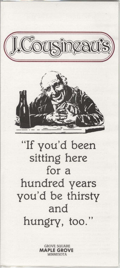



# "If you'd been sitting here for a hundred years you'd be thirsty and hungry, too.

**GROVE SQUARE MAPLE GROVE MINNESOTA**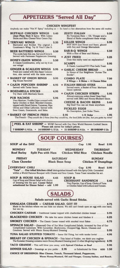## **APPETIZERS "Served All Day"**

**CHICKEN WINGFEST** Anybody can make "Hot N' Spicy" including us - So here's a few alternatives from the same old routine. **RUFFALO CHICKEN WINGS . 5.45 ZESTY ITALIAN** No Tomatoes Here  $-$  Oil, Vinegar and a . . . . . . . . . 5.50 (Just Plain Hot) & Spicy. With Celery Sticks and Bleu Cheese/Sour Cream Dip. Blend of Herbs compliment these wings. TERIYAKI WINGS .... 5.35 Marinated and Broiled. The original J. **KILLER WINGS** ................ 5.95 NOT HOT! Just Sweet and Sassy, glazed Cousineau's Wing. Try It! You'll Like It. with Soy and Orange Marmalade. **BAR-B-Q WINGS** .............. 5.50 **BEER BATTERED WINGS ..... 5.50** With a Hint of Beer and Hickory. The cooks hate this one, but you'll love it. Served with Parmesan Peppercorn Dressing. HONEY-DIJON WINGS ....... 5.50 A Classic Combination, why not try it on **SCAMPI**  $5.95$ our wings! A Classic, Luscious!!!!!!!! Plus Garlic Toast. **GINGER & SCALLION WINGS 5.95 \* GARLIC CHEESE BREAD ...** 3.95 Fried and coated with this Zippy Concoc-In Honor of Our Neighbors "Across The tion, also served with the same sauce. Border". \* BASKET OF ONION RINGS ... 3.95 COMBO PLATE<br>4 Wings - 4 Skins - 4 Cheese Stixs  $7.50$ **Big House Favorite!** \* ITALIAN BREAD STIXS ....... 3.25 \* CAJUN POPCORN SHRIMP .. 4.95 Served warm, a Basket of Four. Marinara Served with Tartar Sauce. Sauce optional. \* MOZZARELLA STICKS ........ 4.95 \* CAJUN CHICKEN STRIPS Try them with Marinara Sauce.  $. . . 5.95$ Almost everyone orders these! Deep fried, **PUB NACHOS** . . . . . . . . . . . 5.95 served with BBQ and Honey-Mustard Sauce. Very Mexican, Tortilla Chips covered with **CHEESE & BACON SKINS ... 5.45** Spicy Chicken or Beef, Blended Cheeses, Big Deall You can eat these anywhere. topped with Diced Onions, Tomatoes, Ripe Olives and Other Leftovers. Served with PICKLED EGGS .50 . . . . . . . . . . . . . . Sour Cream, Guacamole, and Salsa. No Description, Just Order Them. \* BASKET OF FRENCH FRIES ......... 2.95 1/2 Order ......... 1.95 The French - They would die if these fries they would try, the local folks are fine, but you gotta try mine! PEEL & EAT SHRIMP - WOW! Served with Our Own World Renown Cocktail Sauce. Please ask server for today's prices. 7 SHRIMP-1/4 Lb. . 14 SHRIMP-1/2 Lb. . 21 SHRIMP-3/4 Lb. . 28 SHRIMP-1 Lb. **SOUP COURSES** SOUP of the DAY .......... ....... Cup 1.95 **Bowl** 2.95 **MONDAY TUESDAY WEDNESDAY THURSDAY Split Pea with Ham Beef Barley Chicken Wild Rice Chicken Noodle FRIDAY SATURDAY SUNDAY Clam Chowder Black Bean Soup Chicken N' Dumplings** EVERYDAY CHILI ................... Cup 2.95 **Bowl** 3.95 "Tata" . . . Our tribal kitchen chief distinguishes himself with this Spicy Chile. Concealed within a World Famous Bouquet with Cheese and Sour Cream. Texas Toast remedies his act. SOUP & HOUSE SALAD ... 4.45 SOUP<sub>&</sub> Cup of Soup and Dinner Salad with choice **CROISSANT SANDWICH.**  $... 5.45$ of dressing hits the spot. Caesar Salad Very Popular, Cup of Soup, Choice of Tuna substituted for Dinner Salad - add 1.00 or Chicken Salad with Lettuce and Tomato. **SALADS** Salads served with Garlic Bread Sticks. 4.75 Made in the kitchen where we can hide our shame. We still can't break open an egg with one hand, but we try. CHICKEN CAESAR - Traditional Caesar topped with charbroiled chicken breast ....... 5.95 BLACKENED CHICKEN - We take the same chicken breast and blacken it ......... 6.25 SMOKEY CHICKEN - The Classic Caesar tossed with smoked trout flakes ........... 6.75 **SPINACH SALAD** - (Seasonal) One of Our Most Complicated Salads, invented by One of Our Complicated Customers. With Cucumber, Mushrooms, Chopped Egg, Bacon, Cheeses and Croutons. Served with Warm Honey-Mustard Dressing ..............................  $.5.95$ TUNA SALAD STUFFED TOMATO - Same Old Thing, but with tender lovin! ...... 4.95 **BREAST OF CHICKEN & SPINACH** - This Salad of Fodder, we think you oughter. The Eurasian Dressing contains warm Honey-Mustard Dressing (and 12 other life-giving ingredients) 6.95 **TACO GRANDE** - This will blow you away, with Spiced Chicken or Beef .......... 5.95 **DINNER SALAD** - Dressings as you prefer . 2.95 or Substituted for Fries . ADD 1.50

CHOICE OF DRESSINGS: Bleu Cheese, French, Thousand Island, Peppercorn,

Warm Honey-Mustard, Oil and Vinegar, Creamy Italian, and Ranch.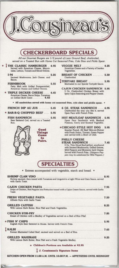|                                                                                                                                                                                         | <b>CHECKERBOARD SPECIALS</b>                                                                                                                                                                                                                                                   |
|-----------------------------------------------------------------------------------------------------------------------------------------------------------------------------------------|--------------------------------------------------------------------------------------------------------------------------------------------------------------------------------------------------------------------------------------------------------------------------------|
|                                                                                                                                                                                         | All our Gourmet Burgers are 1/2 pound of Lean Ground Beef, charbroiled,<br>served on a Toasted Bun with Home Cut Seasoned Fries, Cole Slaw and Pickle Spear.                                                                                                                   |
| THE CLASSIC HAMBURGER . 4.95<br>Served with American Cheese, Mayon-<br>naise, Lettuce, Tomato and Sliced Onions.                                                                        | <b>VEGGIE MELT</b><br>4.25<br>American Cheese and a Variety of Garden<br>Vegetables.                                                                                                                                                                                           |
| 1.94<br>5.25<br>Sauteed Mushrooms, Jack Cheese, and                                                                                                                                     | <b>BREAST OF CHICKEN</b><br>5.50<br>Charbroiled.                                                                                                                                                                                                                               |
| Bacon.<br><b>FERNBROOK</b><br>5.55                                                                                                                                                      | TERIYAKI BREAST<br>5.95<br>Marinated in our Special Teriyaki Sauce.                                                                                                                                                                                                            |
| Patty Melt with Grilled Pumpernickel,<br>American Cheese and Grilled Onions.<br>* TRIPLE DECKER CHEESE  4.45<br>American Cheese, Bacon Strips, Tomatoes<br>on Grilled Multi Grain  4.45 | <b>CAJUN CHICKEN SANDWICH 5.95</b><br>5 Oz. Charbroiled Chicken Breast with<br>Spicy Cajun Seasoning and Pepper Cheese.                                                                                                                                                        |
|                                                                                                                                                                                         | * All sandwiches served with home cut seasoned fries, cole slaw and pickle spear. *                                                                                                                                                                                            |
| <b>FRENCH DIP AU JUS</b><br>5.45<br>* BAR-B-Q CHOPPED BEEF  5.95                                                                                                                        | 6 OZ. STEAK SANDWICH  6.95<br>Charbroiled the way you like it, served<br>Open Face with French Fries.                                                                                                                                                                          |
| FISH SANDWICH  5.95<br>Beer Battered Cod, served on a Toasted<br>Bun.                                                                                                                   | <b>HOT MEATLOAF SANDWICH . 5.95</b><br>Open Face Sandwich with Mashed<br>Potatoes, Gravy and Sauteed Vegetable.                                                                                                                                                                |
| Good<br><b>Things</b><br>Come<br>In                                                                                                                                                     | *CHICAGO STYLE HOT DOG . 5.95<br>Quarter Pound, All Beef Skin-on-Weiner<br>with Fresh Onion, Tomato, Green Pepper<br>and served with a Bowl of Chili.                                                                                                                          |
| Pairs.                                                                                                                                                                                  | <b>PHILLY CHEESE</b><br><b>STEAK SANDWICH</b> 7.45<br>6 Oz. Thin Sliced Beef grilled, smothered<br>with Sauteed Mushrooms, Grilled Onions,<br>Mild Peppers and Monterey Jack Cheese.<br>Served with French Fries. (Jalapeno Pep-<br>pers may be substituted for Mild Peppers.) |
|                                                                                                                                                                                         | <b>SPECIALTIES</b>                                                                                                                                                                                                                                                             |
|                                                                                                                                                                                         | • Entrees accompanied with vegetable, starch and bread. •                                                                                                                                                                                                                      |
| <b>SHRIMP CLAM VINO</b><br>Shrimp sauteed, then tossed with Tomatoes and Linguini in a Light Wine and Clam Sauce, served<br>with Garlic Toast.                                          |                                                                                                                                                                                                                                                                                |
| Strips of Chicken, Red Peppers and Fettucine tossed with a Cajun Cream Sauce, served with Garlic<br>Toast.                                                                              | 7.95                                                                                                                                                                                                                                                                           |
| Alfredo Style with Garlic Toast.                                                                                                                                                        |                                                                                                                                                                                                                                                                                |
| With Lemon Herb Butter, Rice Pilaf and Fresh Vegetables.                                                                                                                                |                                                                                                                                                                                                                                                                                |
| Breast of Chicken with a Medley of Vegetables served on a Bed of Rice Pilaf.                                                                                                            |                                                                                                                                                                                                                                                                                |
| * FISH N' CHIPS<br>English Style Beer Battered in House. Served with French Fries.                                                                                                      |                                                                                                                                                                                                                                                                                |
| <b>KALBI</b><br>Korean Marinated Cubed Beef, sauteed and served on a Bed of Rice.                                                                                                       |                                                                                                                                                                                                                                                                                |
| <b>GRILLED MAHIMAHI</b><br>With Lemon Herb Butter, Rice Pilaf and a Fresh Vegetable Medley.                                                                                             |                                                                                                                                                                                                                                                                                |
| $\div$ Children's Portions are Available at \$2.95                                                                                                                                      |                                                                                                                                                                                                                                                                                |

#### J. Cousinseau's Signature Items

KITCHEN OPEN FROM 11:00 A.M. UNTIL 10:00 P.M. - APPETIZERS UNTIL MIDNIGHT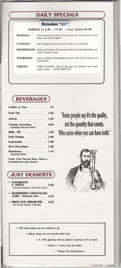#### **DAILY SPECIALS**

|                 | Heineken IMPORTED                                                                         |
|-----------------|-------------------------------------------------------------------------------------------|
|                 | SERVED 11 A.M. - 7 P.M. - Your Choice \$4.95                                              |
| <b>MONDAY:</b>  | Shaved Ham & Turkey Club Sandwich, French Fries, Cole<br>Slaw and Pickle Spear.           |
| <b>TUESDAY:</b> | Beef Stroganoff served with Fettuccine Noodles.                                           |
|                 | WEDNESDAY: Breast of Chicken Parmesan with Fettuccine Noodles and<br>Garlic Cheese Toast. |
| THURSDAY:       | Spicy Chicken Quesadillas served with Sour Cream and<br>Guacamole.                        |
| <b>FRIDAY:</b>  | CHEF'S CHOICE. This is the day our kitchen tests new<br>menu ideas. - BON APPETITE        |

## **BEVERAGES**

| Iced Tea  1.25                                     |  |
|----------------------------------------------------|--|
| Juices  1.50                                       |  |
| Clearly Canadian  2.00<br>Sparkling Flavored Water |  |
| Milk, 2%  1.00                                     |  |
| Soft Drinks  1.00                                  |  |
| Lemonade  1.00                                     |  |
| Hot Chocolate  1.00                                |  |
| <b>Klarbrunn</b> 1.75<br>Sparkling Water           |  |

Order Your Favorite Beer, Wine or Cocktail from your Server.



- **PAVAROTTI** 2.45
- **RASPBERRY CHOCOLATE** CHIP - INSTANT FUNI ...... 2.45
- **OREO ICE CREAM PIE ... 2.95** Our Finest Dessert, Probably.

"Some people say it's the quality, not the quantity that counts. Who cares when you can have both."



· All menu items can be ordered to go.

· Menu items do not include Sales Tax.

• A 15% gratuity will be added to parties of 6 or more.

· Please, 1 check only per table.

· Please, No Substitutions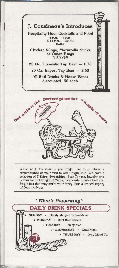

•

While at J. Cousineau's you might like to purchase a remembrance of your visit to our Unique Pub. We have a selection of T·Shlrts, Sweatshirts, Beer Tokens, Jewelry and Glassware including Full Yards, 1/2 Yards, Double Feet and Single feet that may strike your fancy. Plus a limited supply of Ceramic Mugs.

#### "What's Happening"